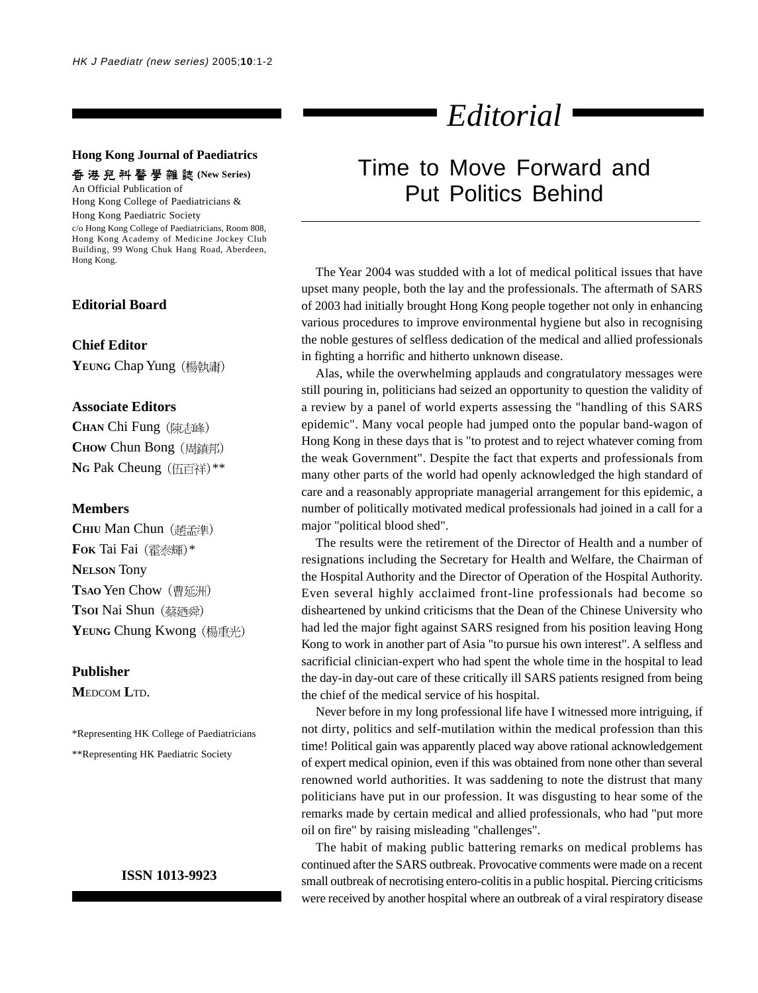#### **Hong Kong Journal of Paediatrics**

香 港 兒 科 醫 學 雜 誌 (New Series)

An Official Publication of Hong Kong College of Paediatricians & Hong Kong Paediatric Society c/o Hong Kong College of Paediatricians, Room 808, Hong Kong Academy of Medicine Jockey Club

Building, 99 Wong Chuk Hang Road, Aberdeen, Hong Kong.

### **Editorial Board**

#### **Chief Editor**

YEUNG Chap Yung (楊執庸)

#### **Associate Editors**

**CHAN** Chi Fung **CHOW Chun Bong** (周鎮邦) **NG Pak Cheung** (伍百祥)\*\*

#### **Members**

**CHIU Man Chun** (趙孟準) **FOK** Tai Fai (霍泰輝)\* **NELSON** Tony **TSAO** Yen Chow **Tsoi Nai Shun** (蔡廼舜) YEUNG Chung Kwong (楊重光)

#### **Publisher**

**M**EDCOM **L**TD.

\*Representing HK College of Paediatricians \*\*Representing HK Paediatric Society

#### **ISSN 1013-9923**

# *Editorial*

## Time to Move Forward and Put Politics Behind

The Year 2004 was studded with a lot of medical political issues that have upset many people, both the lay and the professionals. The aftermath of SARS of 2003 had initially brought Hong Kong people together not only in enhancing various procedures to improve environmental hygiene but also in recognising the noble gestures of selfless dedication of the medical and allied professionals in fighting a horrific and hitherto unknown disease.

Alas, while the overwhelming applauds and congratulatory messages were still pouring in, politicians had seized an opportunity to question the validity of a review by a panel of world experts assessing the "handling of this SARS epidemic". Many vocal people had jumped onto the popular band-wagon of Hong Kong in these days that is "to protest and to reject whatever coming from the weak Government". Despite the fact that experts and professionals from many other parts of the world had openly acknowledged the high standard of care and a reasonably appropriate managerial arrangement for this epidemic, a number of politically motivated medical professionals had joined in a call for a major "political blood shed".

The results were the retirement of the Director of Health and a number of resignations including the Secretary for Health and Welfare, the Chairman of the Hospital Authority and the Director of Operation of the Hospital Authority. Even several highly acclaimed front-line professionals had become so disheartened by unkind criticisms that the Dean of the Chinese University who had led the major fight against SARS resigned from his position leaving Hong Kong to work in another part of Asia "to pursue his own interest". A selfless and sacrificial clinician-expert who had spent the whole time in the hospital to lead the day-in day-out care of these critically ill SARS patients resigned from being the chief of the medical service of his hospital.

Never before in my long professional life have I witnessed more intriguing, if not dirty, politics and self-mutilation within the medical profession than this time! Political gain was apparently placed way above rational acknowledgement of expert medical opinion, even if this was obtained from none other than several renowned world authorities. It was saddening to note the distrust that many politicians have put in our profession. It was disgusting to hear some of the remarks made by certain medical and allied professionals, who had "put more oil on fire" by raising misleading "challenges".

The habit of making public battering remarks on medical problems has continued after the SARS outbreak. Provocative comments were made on a recent small outbreak of necrotising entero-colitis in a public hospital. Piercing criticisms were received by another hospital where an outbreak of a viral respiratory disease